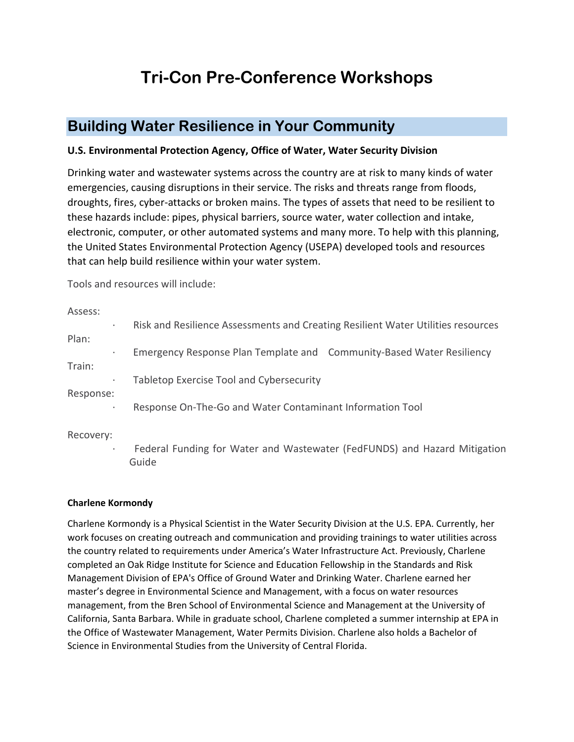# **Tri-Con Pre-Conference Workshops**

# **Building Water Resilience in Your Community**

# **U.S. Environmental Protection Agency, Office of Water, Water Security Division**

Drinking water and wastewater systems across the country are at risk to many kinds of water emergencies, causing disruptions in their service. The risks and threats range from floods, droughts, fires, cyber-attacks or broken mains. The types of assets that need to be resilient to these hazards include: pipes, physical barriers, source water, water collection and intake, electronic, computer, or other automated systems and many more. To help with this planning, the United States Environmental Protection Agency (USEPA) developed tools and resources that can help build resilience within your water system.

Tools and resources will include:

Assess: · Risk and Resilience Assessments and Creating Resilient Water Utilities resources Plan: · Emergency Response Plan Template and Community-Based Water Resiliency Train: Tabletop Exercise Tool and Cybersecurity Response: Response On-The-Go and Water Contaminant Information Tool

Recovery:

Federal Funding for Water and Wastewater (FedFUNDS) and Hazard Mitigation Guide

# **Charlene Kormondy**

Charlene Kormondy is a Physical Scientist in the Water Security Division at the U.S. EPA. Currently, her work focuses on creating outreach and communication and providing trainings to water utilities across the country related to requirements under America's Water Infrastructure Act. Previously, Charlene completed an Oak Ridge Institute for Science and Education Fellowship in the Standards and Risk Management Division of EPA's Office of Ground Water and Drinking Water. Charlene earned her master's degree in Environmental Science and Management, with a focus on water resources management, from the Bren School of Environmental Science and Management at the University of California, Santa Barbara. While in graduate school, Charlene completed a summer internship at EPA in the Office of Wastewater Management, Water Permits Division. Charlene also holds a Bachelor of Science in Environmental Studies from the University of Central Florida.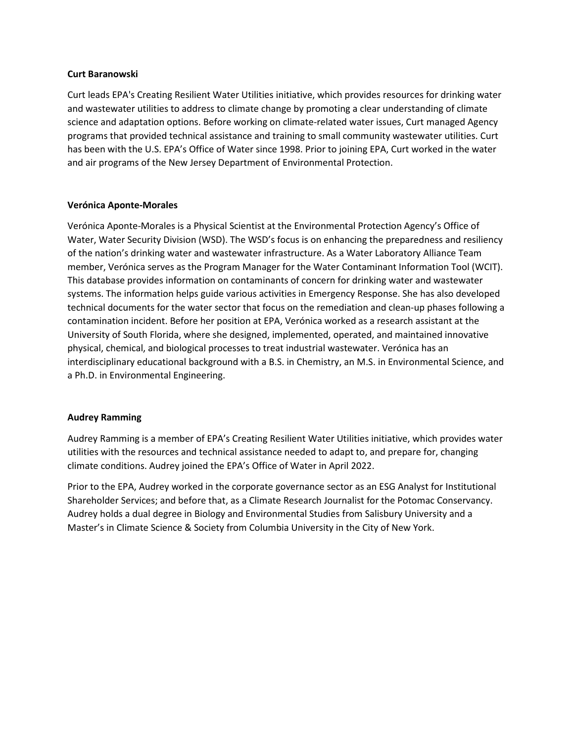#### **Curt Baranowski**

Curt leads EPA's Creating Resilient Water Utilities initiative, which provides resources for drinking water and wastewater utilities to address to climate change by promoting a clear understanding of climate science and adaptation options. Before working on climate-related water issues, Curt managed Agency programs that provided technical assistance and training to small community wastewater utilities. Curt has been with the U.S. EPA's Office of Water since 1998. Prior to joining EPA, Curt worked in the water and air programs of the New Jersey Department of Environmental Protection.

# **Verónica Aponte-Morales**

Verónica Aponte-Morales is a Physical Scientist at the Environmental Protection Agency's Office of Water, Water Security Division (WSD). The WSD's focus is on enhancing the preparedness and resiliency of the nation's drinking water and wastewater infrastructure. As a Water Laboratory Alliance Team member, Verónica serves as the Program Manager for the Water Contaminant Information Tool (WCIT). This database provides information on contaminants of concern for drinking water and wastewater systems. The information helps guide various activities in Emergency Response. She has also developed technical documents for the water sector that focus on the remediation and clean-up phases following a contamination incident. Before her position at EPA, Verónica worked as a research assistant at the University of South Florida, where she designed, implemented, operated, and maintained innovative physical, chemical, and biological processes to treat industrial wastewater. Verónica has an interdisciplinary educational background with a B.S. in Chemistry, an M.S. in Environmental Science, and a Ph.D. in Environmental Engineering.

# **Audrey Ramming**

Audrey Ramming is a member of EPA's Creating Resilient Water Utilities initiative, which provides water utilities with the resources and technical assistance needed to adapt to, and prepare for, changing climate conditions. Audrey joined the EPA's Office of Water in April 2022.

Prior to the EPA, Audrey worked in the corporate governance sector as an ESG Analyst for Institutional Shareholder Services; and before that, as a Climate Research Journalist for the Potomac Conservancy. Audrey holds a dual degree in Biology and Environmental Studies from Salisbury University and a Master's in Climate Science & Society from Columbia University in the City of New York.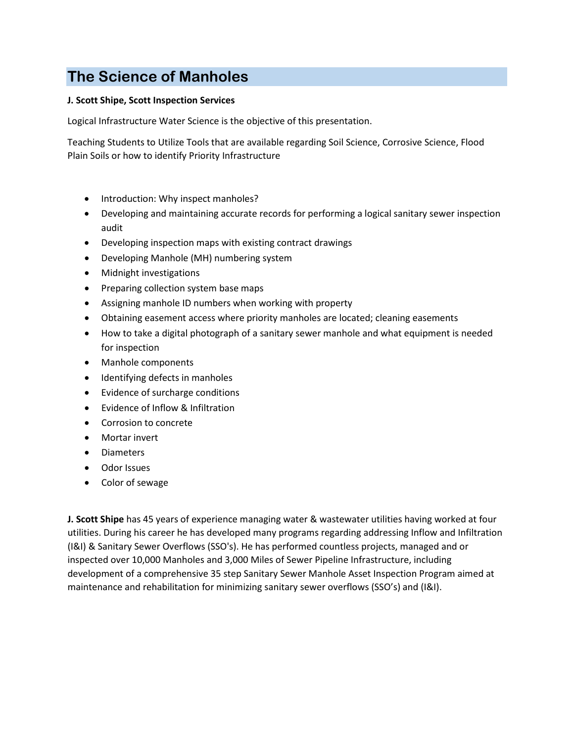# **The Science of Manholes**

# **J. Scott Shipe, Scott Inspection Services**

Logical Infrastructure Water Science is the objective of this presentation.

Teaching Students to Utilize Tools that are available regarding Soil Science, Corrosive Science, Flood Plain Soils or how to identify Priority Infrastructure

- Introduction: Why inspect manholes?
- Developing and maintaining accurate records for performing a logical sanitary sewer inspection audit
- Developing inspection maps with existing contract drawings
- Developing Manhole (MH) numbering system
- Midnight investigations
- Preparing collection system base maps
- Assigning manhole ID numbers when working with property
- Obtaining easement access where priority manholes are located; cleaning easements
- How to take a digital photograph of a sanitary sewer manhole and what equipment is needed for inspection
- Manhole components
- Identifying defects in manholes
- Evidence of surcharge conditions
- Evidence of Inflow & Infiltration
- Corrosion to concrete
- Mortar invert
- Diameters
- Odor Issues
- Color of sewage

**J. Scott Shipe** has 45 years of experience managing water & wastewater utilities having worked at four utilities. During his career he has developed many programs regarding addressing Inflow and Infiltration (I&I) & Sanitary Sewer Overflows (SSO's). He has performed countless projects, managed and or inspected over 10,000 Manholes and 3,000 Miles of Sewer Pipeline Infrastructure, including development of a comprehensive 35 step Sanitary Sewer Manhole Asset Inspection Program aimed at maintenance and rehabilitation for minimizing sanitary sewer overflows (SSO's) and (I&I).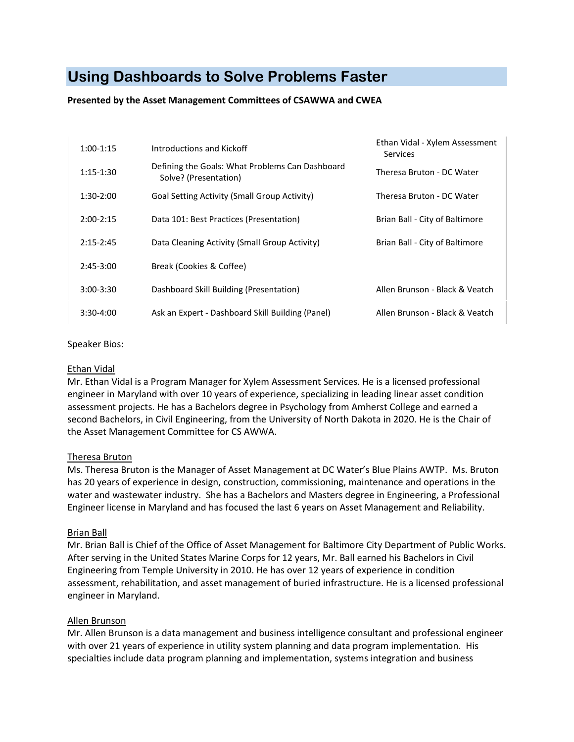# **Using Dashboards to Solve Problems Faster**

# **Presented by the Asset Management Committees of CSAWWA and CWEA**

| $1:00-1:15$   | Introductions and Kickoff                                                | Ethan Vidal - Xylem Assessment<br>Services |
|---------------|--------------------------------------------------------------------------|--------------------------------------------|
| $1:15 - 1:30$ | Defining the Goals: What Problems Can Dashboard<br>Solve? (Presentation) | Theresa Bruton - DC Water                  |
| $1:30-2:00$   | Goal Setting Activity (Small Group Activity)                             | Theresa Bruton - DC Water                  |
| $2:00-2:15$   | Data 101: Best Practices (Presentation)                                  | Brian Ball - City of Baltimore             |
| $2:15 - 2:45$ | Data Cleaning Activity (Small Group Activity)                            | Brian Ball - City of Baltimore             |
| $2:45-3:00$   | Break (Cookies & Coffee)                                                 |                                            |
| $3:00-3:30$   | Dashboard Skill Building (Presentation)                                  | Allen Brunson - Black & Veatch             |
| $3:30-4:00$   | Ask an Expert - Dashboard Skill Building (Panel)                         | Allen Brunson - Black & Veatch             |

#### Speaker Bios:

# Ethan Vidal

Mr. Ethan Vidal is a Program Manager for Xylem Assessment Services. He is a licensed professional engineer in Maryland with over 10 years of experience, specializing in leading linear asset condition assessment projects. He has a Bachelors degree in Psychology from Amherst College and earned a second Bachelors, in Civil Engineering, from the University of North Dakota in 2020. He is the Chair of the Asset Management Committee for CS AWWA.

# Theresa Bruton

Ms. Theresa Bruton is the Manager of Asset Management at DC Water's Blue Plains AWTP. Ms. Bruton has 20 years of experience in design, construction, commissioning, maintenance and operations in the water and wastewater industry. She has a Bachelors and Masters degree in Engineering, a Professional Engineer license in Maryland and has focused the last 6 years on Asset Management and Reliability.

# Brian Ball

Mr. Brian Ball is Chief of the Office of Asset Management for Baltimore City Department of Public Works. After serving in the United States Marine Corps for 12 years, Mr. Ball earned his Bachelors in Civil Engineering from Temple University in 2010. He has over 12 years of experience in condition assessment, rehabilitation, and asset management of buried infrastructure. He is a licensed professional engineer in Maryland.

# Allen Brunson

Mr. Allen Brunson is a data management and business intelligence consultant and professional engineer with over 21 years of experience in utility system planning and data program implementation. His specialties include data program planning and implementation, systems integration and business